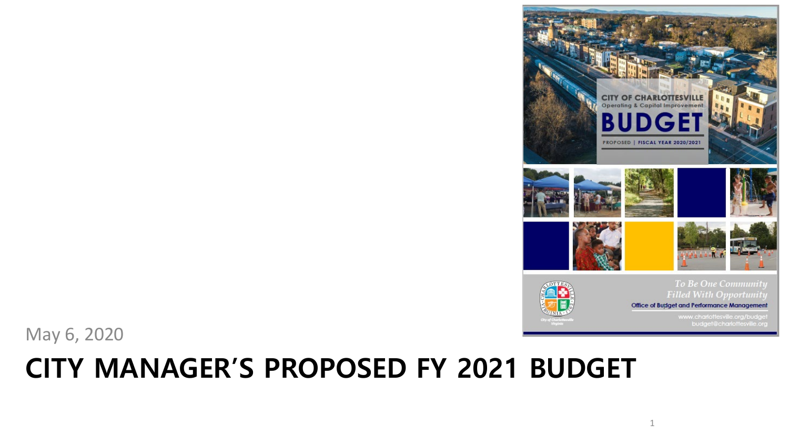#### **CITY MANAGER'S PROPOSED FY 2021 BUDGET**

May 6, 2020

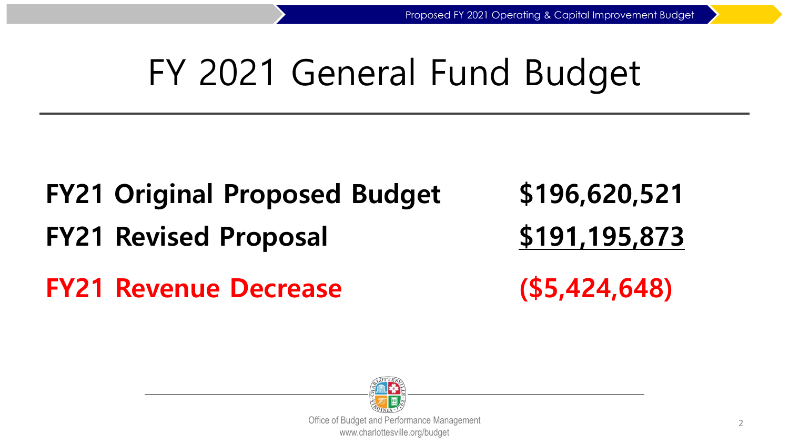# FY 2021 General Fund Budget

## **FY21 Original Proposed Budget \$196,620,521 FY21 Revised Proposal \$191,195,873 FY21 Revenue Decrease (\$5,424,648)**

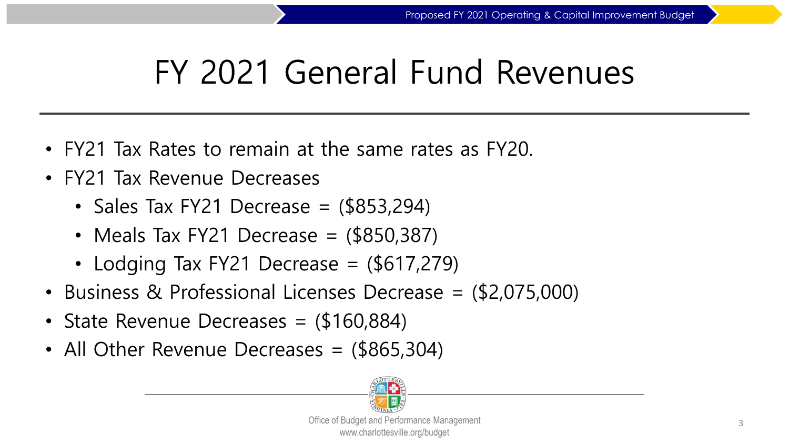### FY 2021 General Fund Revenues

- FY21 Tax Rates to remain at the same rates as FY20.
- FY21 Tax Revenue Decreases
	- Sales Tax FY21 Decrease  $=$  (\$853,294)
	- Meals Tax FY21 Decrease  $=$  (\$850,387)
	- Lodging Tax FY21 Decrease  $=$  (\$617,279)
- Business & Professional Licenses Decrease = (\$2,075,000)
- State Revenue Decreases = (\$160,884)
- All Other Revenue Decreases = (\$865,304)

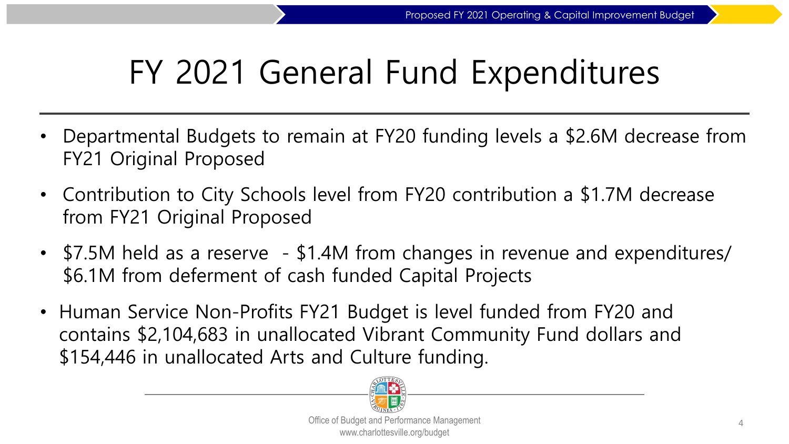### FY 2021 General Fund Expenditures

- Departmental Budgets to remain at FY20 funding levels a \$2.6M decrease from FY21 Original Proposed
- Contribution to City Schools level from FY20 contribution a \$1.7M decrease from FY21 Original Proposed
- \$7.5M held as a reserve \$1.4M from changes in revenue and expenditures/ \$6.1M from deferment of cash funded Capital Projects
- Human Service Non-Profits FY21 Budget is level funded from FY20 and contains \$2,104,683 in unallocated Vibrant Community Fund dollars and \$154,446 in unallocated Arts and Culture funding.

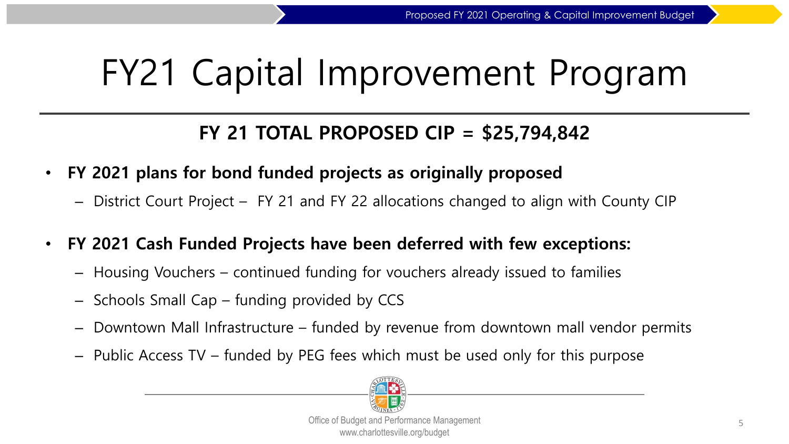# FY21 Capital Improvement Program

#### **FY 21 TOTAL PROPOSED CIP = \$25,794,842**

- **FY 2021 plans for bond funded projects as originally proposed**
	- District Court Project FY 21 and FY 22 allocations changed to align with County CIP
- **FY 2021 Cash Funded Projects have been deferred with few exceptions:**
	- Housing Vouchers continued funding for vouchers already issued to families
	- Schools Small Cap funding provided by CCS
	- Downtown Mall Infrastructure funded by revenue from downtown mall vendor permits
	- Public Access TV funded by PEG fees which must be used only for this purpose

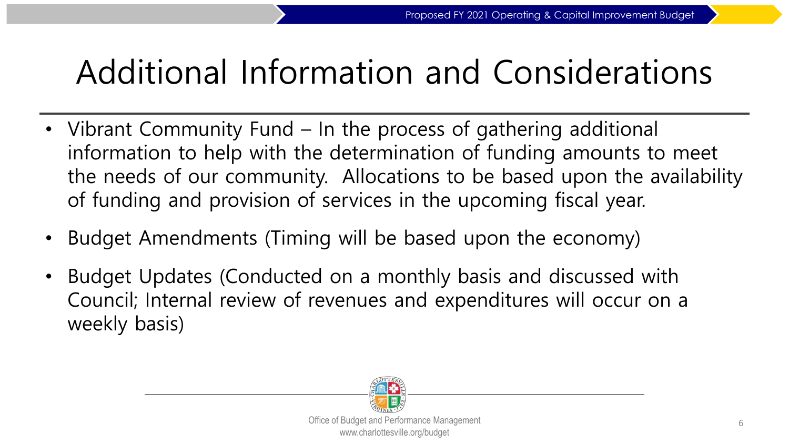### Additional Information and Considerations

- Vibrant Community Fund In the process of gathering additional information to help with the determination of funding amounts to meet the needs of our community. Allocations to be based upon the availability of funding and provision of services in the upcoming fiscal year.
- Budget Amendments (Timing will be based upon the economy)
- Budget Updates (Conducted on a monthly basis and discussed with Council; Internal review of revenues and expenditures will occur on a weekly basis)

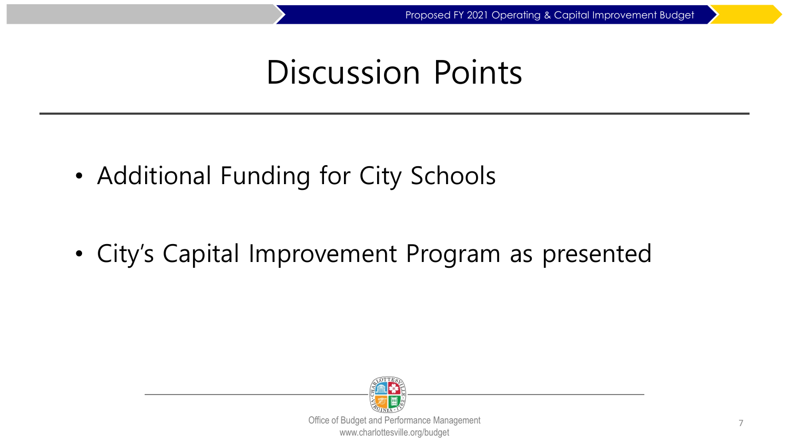#### Discussion Points

• Additional Funding for City Schools

• City's Capital Improvement Program as presented

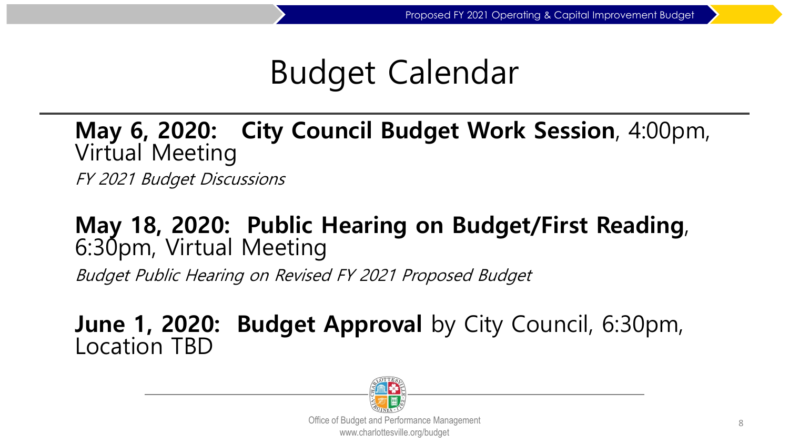#### Budget Calendar

**May 6, 2020: City Council Budget Work Session**, 4:00pm, Virtual Meeting

FY 2021 Budget Discussions

#### **May 18, 2020: Public Hearing on Budget/First Reading**, 6:30pm, Virtual Meeting

Budget Public Hearing on Revised FY 2021 Proposed Budget

# **June 1, 2020: Budget Approval** by City Council, 6:30pm, Location TBD